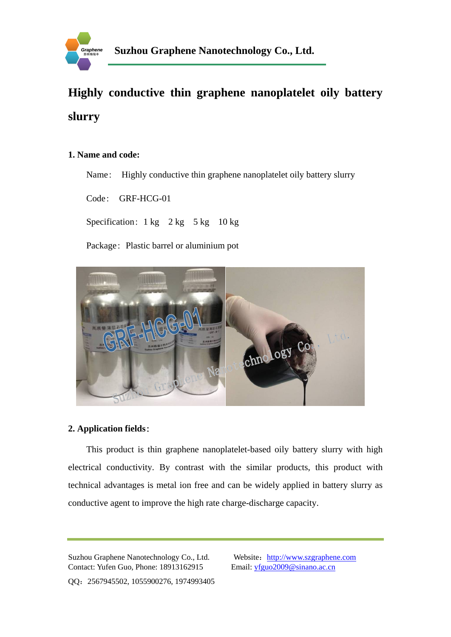

# **Highly conductive thin graphene nanoplatelet oily battery slurry**

### **1. Name and code:**

Name: Highly conductive thin graphene nanoplatelet oily battery slurry

Code: GRF-HCG-01

Specification:  $1 \text{ kg}$   $2 \text{ kg}$   $5 \text{ kg}$   $10 \text{ kg}$ 

Package: Plastic barrel or [aluminium pot](http://dict.cn/aluminium%20pot)



## **2. Application fields**:

 This product is thin graphene nanoplatelet-based oily battery slurry with high electrical conductivity. By contrast with the similar products, this product with technical advantages is metal ion free and can be widely applied in battery slurry as conductive agent to improve the high rate charge-discharge capacity.

Suzhou Graphene Nanotechnology Co., Ltd. Website: http://www.szgraphene.com Contact: Yufen Guo, Phone: 18913162915 Email: yfguo2009@sinano.ac.cn

QQ:2567945502, 1055900276, 1974993405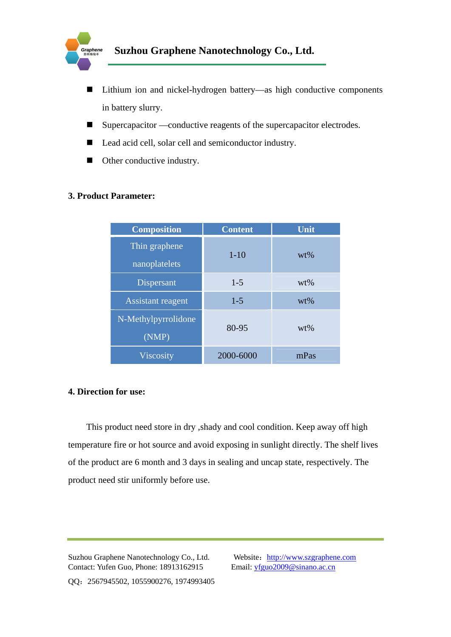

- Lithium ion and nickel-hydrogen battery—as high conductive components in battery slurry.
- Supercapacitor —conductive reagents of the supercapacitor electrodes.
- Lead acid cell, solar cell and semiconductor industry.
- Other conductive industry.

### **3. Product Parameter:**

| <b>Composition</b>  | <b>Content</b> | Unit   |
|---------------------|----------------|--------|
| Thin graphene       | $1 - 10$       | $wt\%$ |
| nanoplatelets       |                |        |
| Dispersant          | $1 - 5$        | $wt\%$ |
| Assistant reagent   | $1-5$          | $wt\%$ |
| N-Methylpyrrolidone | 80-95          | $wt\%$ |
| (NMP)               |                |        |
| <b>Viscosity</b>    | 2000-6000      | mPas   |

#### **4. Direction for use:**

 This product need store in dry ,shady and cool condition. Keep away off high temperature fire or hot source and avoid exposing in sunlight directly. The shelf lives of the product are 6 month and 3 days in sealing and uncap state, respectively. The product need stir uniformly before use.

Suzhou Graphene Nanotechnology Co., Ltd. Website: http://www.szgraphene.com Contact: Yufen Guo, Phone: 18913162915 Email: yfguo2009@sinano.ac.cn

QQ:2567945502, 1055900276, 1974993405